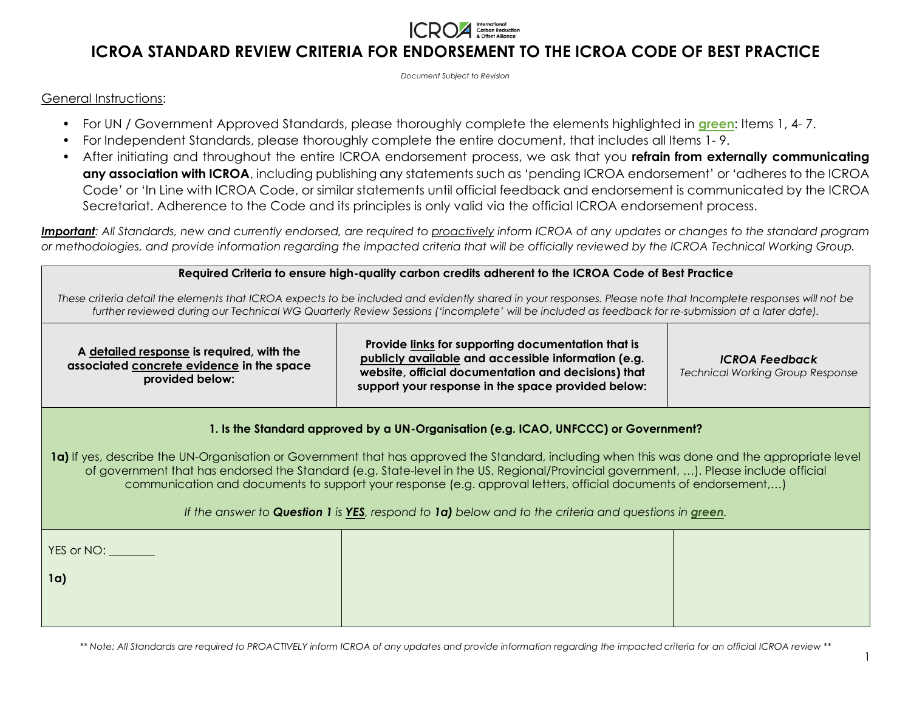

*Document Subject to Revision*

### General Instructions:

- For UN / Government Approved Standards, please thoroughly complete the elements highlighted in **green**: Items 1, 4- 7.
- For Independent Standards, please thoroughly complete the entire document, that includes all Items 1- 9.
- After initiating and throughout the entire ICROA endorsement process, we ask that you **refrain from externally communicating any association with ICROA**, including publishing any statements such as 'pending ICROA endorsement' or 'adheres to the ICROA Code' or 'In Line with ICROA Code, or similar statements until official feedback and endorsement is communicated by the ICROA Secretariat. Adherence to the Code and its principles is only valid via the official ICROA endorsement process.

*Important: All Standards, new and currently endorsed, are required to proactively inform ICROA of any updates or changes to the standard program or methodologies, and provide information regarding the impacted criteria that will be officially reviewed by the ICROA Technical Working Group.*

#### **Required Criteria to ensure high-quality carbon credits adherent to the ICROA Code of Best Practice**

*These criteria detail the elements that ICROA expects to be included and evidently shared in your responses. Please note that Incomplete responses will not be further reviewed during our Technical WG Quarterly Review Sessions ('incomplete' will be included as feedback for re-submission at a later date).*

**A detailed response is required, with the associated concrete evidence in the space provided below:**

**Provide links for supporting documentation that is publicly available and accessible information (e.g. website, official documentation and decisions) that support your response in the space provided below:** 

*ICROA Feedback* 

*Technical Working Group Response*

### **1. Is the Standard approved by a UN-Organisation (e.g. ICAO, UNFCCC) or Government?**

**1a)** If yes, describe the UN-Organisation or Government that has approved the Standard, including when this was done and the appropriate level of government that has endorsed the Standard (e.g. State-level in the US, Regional/Provincial government, …). Please include official communication and documents to support your response (e.g. approval letters, official documents of endorsement,…)

### *If the answer to Question 1 is YES, respond to 1a) below and to the criteria and questions in green.*

| YES or NO: |  |
|------------|--|
| 1a)        |  |
|            |  |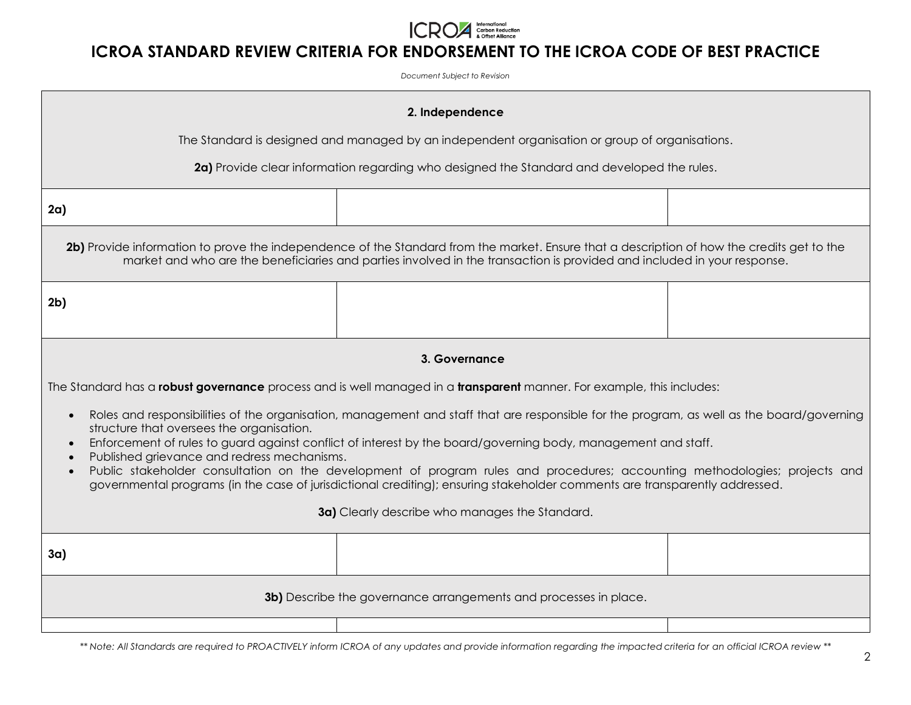

*Document Subject to Revision*

| 2. Independence                                                                                                                                                                                                                                                                                                                                                                                                                                                                                                                                                                                                     |                                                                                                                       |  |  |
|---------------------------------------------------------------------------------------------------------------------------------------------------------------------------------------------------------------------------------------------------------------------------------------------------------------------------------------------------------------------------------------------------------------------------------------------------------------------------------------------------------------------------------------------------------------------------------------------------------------------|-----------------------------------------------------------------------------------------------------------------------|--|--|
| The Standard is designed and managed by an independent organisation or group of organisations.                                                                                                                                                                                                                                                                                                                                                                                                                                                                                                                      |                                                                                                                       |  |  |
|                                                                                                                                                                                                                                                                                                                                                                                                                                                                                                                                                                                                                     | 2a) Provide clear information regarding who designed the Standard and developed the rules.                            |  |  |
| 2a)                                                                                                                                                                                                                                                                                                                                                                                                                                                                                                                                                                                                                 |                                                                                                                       |  |  |
| 2b) Provide information to prove the independence of the Standard from the market. Ensure that a description of how the credits get to the<br>market and who are the beneficiaries and parties involved in the transaction is provided and included in your response.                                                                                                                                                                                                                                                                                                                                               |                                                                                                                       |  |  |
| 2 <sub>b</sub>                                                                                                                                                                                                                                                                                                                                                                                                                                                                                                                                                                                                      |                                                                                                                       |  |  |
|                                                                                                                                                                                                                                                                                                                                                                                                                                                                                                                                                                                                                     | 3. Governance                                                                                                         |  |  |
|                                                                                                                                                                                                                                                                                                                                                                                                                                                                                                                                                                                                                     | The Standard has a robust governance process and is well managed in a transparent manner. For example, this includes: |  |  |
| Roles and responsibilities of the organisation, management and staff that are responsible for the program, as well as the board/governing<br>structure that oversees the organisation.<br>Enforcement of rules to guard against conflict of interest by the board/governing body, management and staff.<br>Published grievance and redress mechanisms.<br>Public stakeholder consultation on the development of program rules and procedures; accounting methodologies; projects and<br>governmental programs (in the case of jurisdictional crediting); ensuring stakeholder comments are transparently addressed. |                                                                                                                       |  |  |
| 3a) Clearly describe who manages the Standard.                                                                                                                                                                                                                                                                                                                                                                                                                                                                                                                                                                      |                                                                                                                       |  |  |
| 3a)                                                                                                                                                                                                                                                                                                                                                                                                                                                                                                                                                                                                                 |                                                                                                                       |  |  |
| 3b) Describe the governance arrangements and processes in place.                                                                                                                                                                                                                                                                                                                                                                                                                                                                                                                                                    |                                                                                                                       |  |  |
|                                                                                                                                                                                                                                                                                                                                                                                                                                                                                                                                                                                                                     |                                                                                                                       |  |  |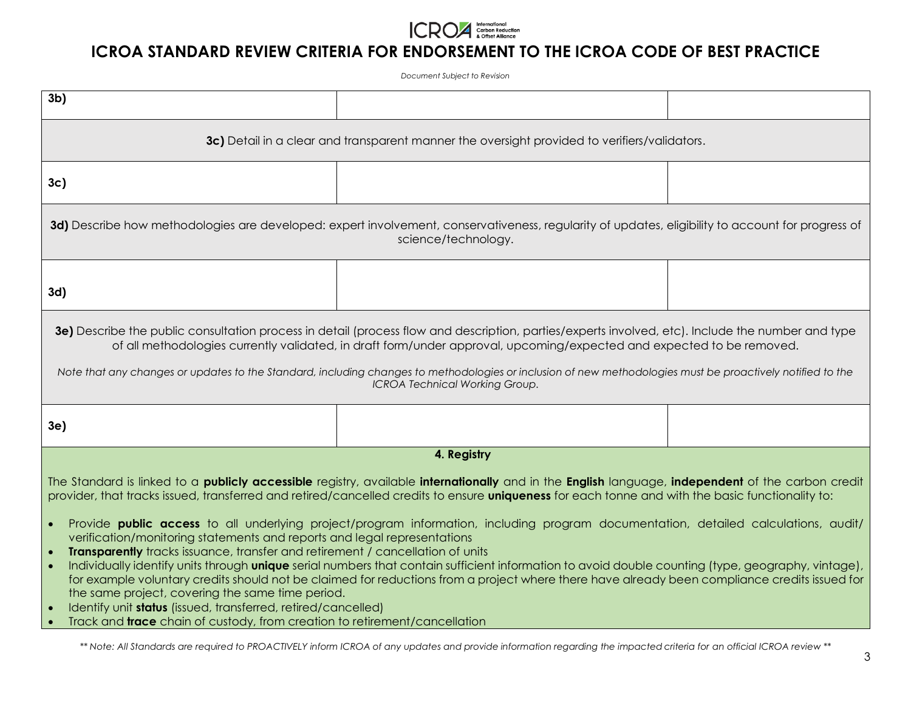

*Document Subject to Revision*

| 3d) Describe how methodologies are developed: expert involvement, conservativeness, regularity of updates, eligibility to account for progress of                                                                                                                                                                                                                                                                                                                                                                                                                                                                                                                                                                                                                                                                                                                                                                                                                                                                                                                                                                                                                                       |  |  |  |
|-----------------------------------------------------------------------------------------------------------------------------------------------------------------------------------------------------------------------------------------------------------------------------------------------------------------------------------------------------------------------------------------------------------------------------------------------------------------------------------------------------------------------------------------------------------------------------------------------------------------------------------------------------------------------------------------------------------------------------------------------------------------------------------------------------------------------------------------------------------------------------------------------------------------------------------------------------------------------------------------------------------------------------------------------------------------------------------------------------------------------------------------------------------------------------------------|--|--|--|
|                                                                                                                                                                                                                                                                                                                                                                                                                                                                                                                                                                                                                                                                                                                                                                                                                                                                                                                                                                                                                                                                                                                                                                                         |  |  |  |
| 3e) Describe the public consultation process in detail (process flow and description, parties/experts involved, etc). Include the number and type<br>of all methodologies currently validated, in draft form/under approval, upcoming/expected and expected to be removed.<br>Note that any changes or updates to the Standard, including changes to methodologies or inclusion of new methodologies must be proactively notified to the<br><b>ICROA Technical Working Group.</b>                                                                                                                                                                                                                                                                                                                                                                                                                                                                                                                                                                                                                                                                                                       |  |  |  |
|                                                                                                                                                                                                                                                                                                                                                                                                                                                                                                                                                                                                                                                                                                                                                                                                                                                                                                                                                                                                                                                                                                                                                                                         |  |  |  |
|                                                                                                                                                                                                                                                                                                                                                                                                                                                                                                                                                                                                                                                                                                                                                                                                                                                                                                                                                                                                                                                                                                                                                                                         |  |  |  |
| The Standard is linked to a <b>publicly accessible</b> registry, available internationally and in the English language, independent of the carbon credit<br>provider, that tracks issued, transferred and retired/cancelled credits to ensure uniqueness for each tonne and with the basic functionality to:<br>Provide <b>public access</b> to all underlying project/program information, including program documentation, detailed calculations, audit/<br>$\bullet$<br>verification/monitoring statements and reports and legal representations<br>Transparently tracks issuance, transfer and retirement / cancellation of units<br>$\bullet$<br>Individually identify units through <b>unique</b> serial numbers that contain sufficient information to avoid double counting (type, geography, vintage),<br>$\bullet$<br>for example voluntary credits should not be claimed for reductions from a project where there have already been compliance credits issued for<br>the same project, covering the same time period.<br>Identify unit status (issued, transferred, retired/cancelled)<br>Track and <i>trace</i> chain of custody, from creation to retirement/cancellation |  |  |  |
|                                                                                                                                                                                                                                                                                                                                                                                                                                                                                                                                                                                                                                                                                                                                                                                                                                                                                                                                                                                                                                                                                                                                                                                         |  |  |  |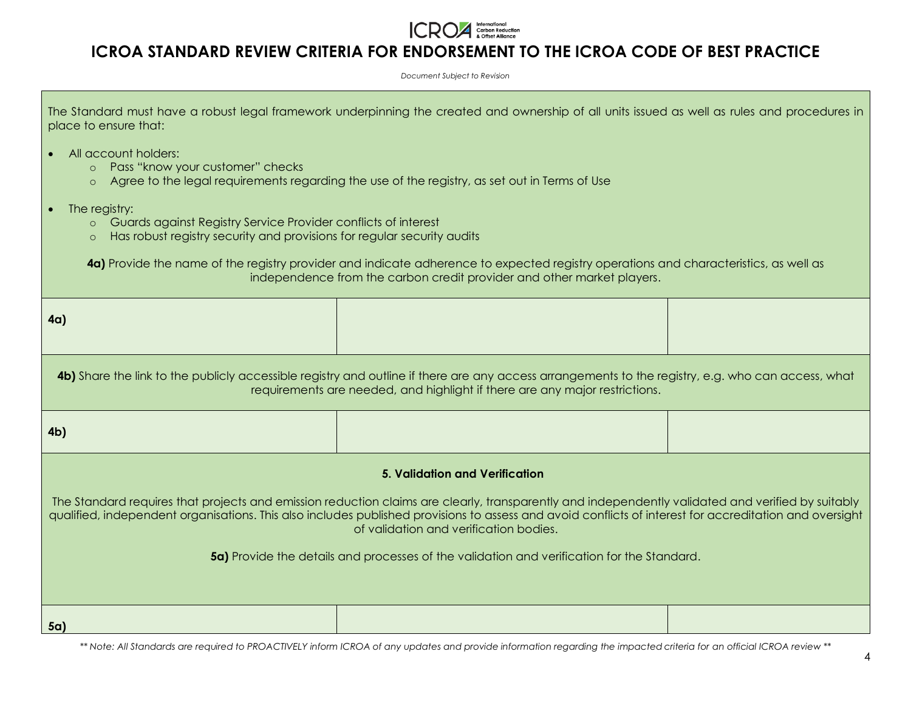

*Document Subject to Revision*

| The Standard must have a robust legal framework underpinning the created and ownership of all units issued as well as rules and procedures in |  |  |
|-----------------------------------------------------------------------------------------------------------------------------------------------|--|--|
| place to ensure that:                                                                                                                         |  |  |

- All account holders:
	- o Pass "know your customer" checks
	- o Agree to the legal requirements regarding the use of the registry, as set out in Terms of Use
- The registry:
	- o Guards against Registry Service Provider conflicts of interest
	- o Has robust registry security and provisions for regular security audits

**4a)** Provide the name of the registry provider and indicate adherence to expected registry operations and characteristics, as well as independence from the carbon credit provider and other market players.

| 4a)                                                                                                                                                                                                                                                                                                                                                                                                                                                                                           |  |  |  |
|-----------------------------------------------------------------------------------------------------------------------------------------------------------------------------------------------------------------------------------------------------------------------------------------------------------------------------------------------------------------------------------------------------------------------------------------------------------------------------------------------|--|--|--|
| 4b) Share the link to the publicly accessible registry and outline if there are any access arrangements to the registry, e.g. who can access, what<br>requirements are needed, and highlight if there are any major restrictions.                                                                                                                                                                                                                                                             |  |  |  |
| 4 <sub>b</sub>                                                                                                                                                                                                                                                                                                                                                                                                                                                                                |  |  |  |
| <b>5. Validation and Verification</b><br>The Standard requires that projects and emission reduction claims are clearly, transparently and independently validated and verified by suitably<br>qualified, independent organisations. This also includes published provisions to assess and avoid conflicts of interest for accreditation and oversight<br>of validation and verification bodies.<br>5a) Provide the details and processes of the validation and verification for the Standard. |  |  |  |
| 5a)                                                                                                                                                                                                                                                                                                                                                                                                                                                                                           |  |  |  |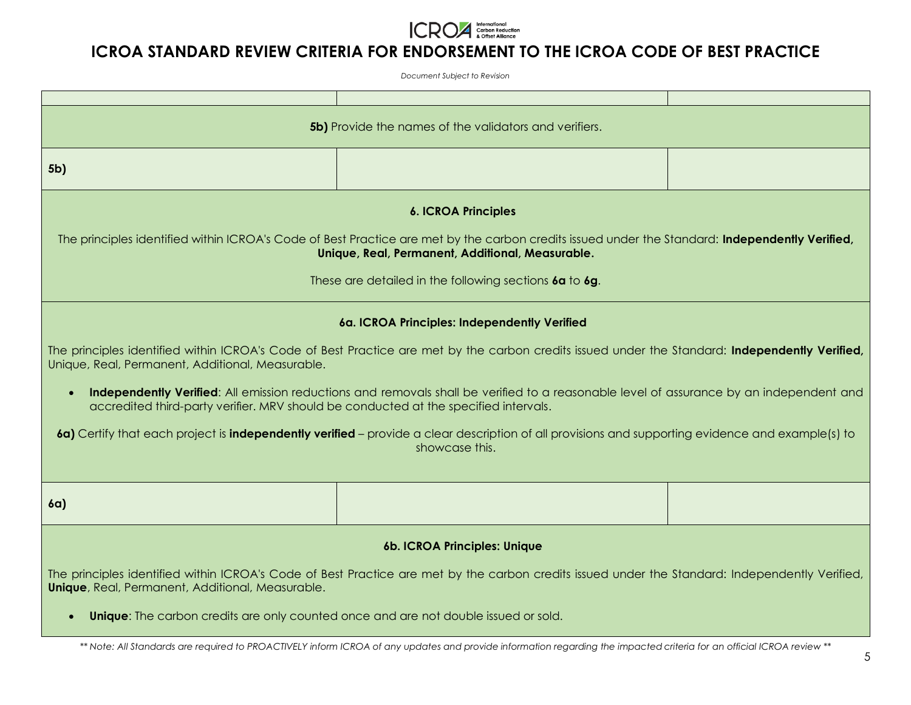

*Document Subject to Revision*

| <b>5b)</b> Provide the names of the validators and verifiers.                                                                                                                                                                                                                                                                                                                                                                                                                                                                                                                                                                                                 |  |  |  |
|---------------------------------------------------------------------------------------------------------------------------------------------------------------------------------------------------------------------------------------------------------------------------------------------------------------------------------------------------------------------------------------------------------------------------------------------------------------------------------------------------------------------------------------------------------------------------------------------------------------------------------------------------------------|--|--|--|
| 5b)                                                                                                                                                                                                                                                                                                                                                                                                                                                                                                                                                                                                                                                           |  |  |  |
| <b>6. ICROA Principles</b><br>The principles identified within ICROA's Code of Best Practice are met by the carbon credits issued under the Standard: Independently Verified,<br>Unique, Real, Permanent, Additional, Measurable.<br>These are detailed in the following sections 6a to 6g.                                                                                                                                                                                                                                                                                                                                                                   |  |  |  |
| 6a. ICROA Principles: Independently Verified<br>The principles identified within ICROA's Code of Best Practice are met by the carbon credits issued under the Standard: Independently Verified,<br>Unique, Real, Permanent, Additional, Measurable.<br>Independently Verified: All emission reductions and removals shall be verified to a reasonable level of assurance by an independent and<br>accredited third-party verifier. MRV should be conducted at the specified intervals.<br>6a) Certify that each project is independently verified – provide a clear description of all provisions and supporting evidence and example(s) to<br>showcase this. |  |  |  |
| 6a)                                                                                                                                                                                                                                                                                                                                                                                                                                                                                                                                                                                                                                                           |  |  |  |
| 6b. ICROA Principles: Unique<br>The principles identified within ICROA's Code of Best Practice are met by the carbon credits issued under the Standard: Independently Verified,<br><b>Unique</b> , Real, Permanent, Additional, Measurable.<br><b>Unique:</b> The carbon credits are only counted once and are not double issued or sold.                                                                                                                                                                                                                                                                                                                     |  |  |  |
| ** Note: All Standards are required to PROACTIVELY inform ICROA of any updates and provide information regarding the impacted criteria for an official ICROA review **                                                                                                                                                                                                                                                                                                                                                                                                                                                                                        |  |  |  |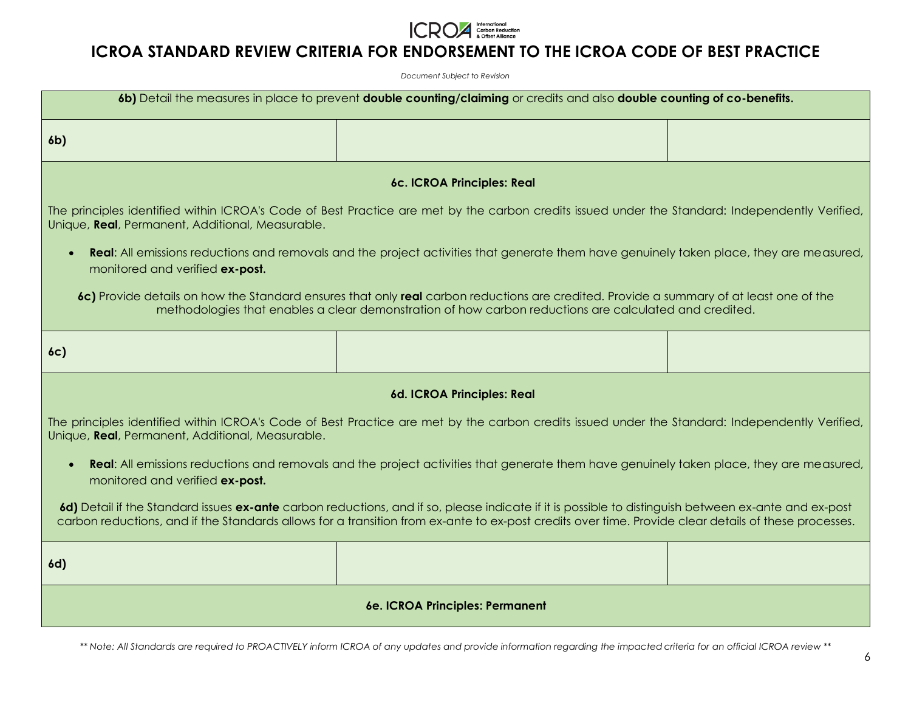

*Document Subject to Revision*

| 6b) Detail the measures in place to prevent double counting/claiming or credits and also double counting of co-benefits.                                                                                                                                                                                     |                                                                                                                                                 |  |  |
|--------------------------------------------------------------------------------------------------------------------------------------------------------------------------------------------------------------------------------------------------------------------------------------------------------------|-------------------------------------------------------------------------------------------------------------------------------------------------|--|--|
| 6 <sub>b</sub>                                                                                                                                                                                                                                                                                               |                                                                                                                                                 |  |  |
|                                                                                                                                                                                                                                                                                                              | 6c. ICROA Principles: Real                                                                                                                      |  |  |
| Unique, Real, Permanent, Additional, Measurable.                                                                                                                                                                                                                                                             | The principles identified within ICROA's Code of Best Practice are met by the carbon credits issued under the Standard: Independently Verified, |  |  |
| <b>Real:</b> All emissions reductions and removals and the project activities that generate them have genuinely taken place, they are measured,<br>monitored and verified ex-post.                                                                                                                           |                                                                                                                                                 |  |  |
| 6c) Provide details on how the Standard ensures that only real carbon reductions are credited. Provide a summary of at least one of the<br>methodologies that enables a clear demonstration of how carbon reductions are calculated and credited.                                                            |                                                                                                                                                 |  |  |
| 6c)                                                                                                                                                                                                                                                                                                          |                                                                                                                                                 |  |  |
|                                                                                                                                                                                                                                                                                                              | 6d. ICROA Principles: Real                                                                                                                      |  |  |
| The principles identified within ICROA's Code of Best Practice are met by the carbon credits issued under the Standard: Independently Verified,<br>Unique, Real, Permanent, Additional, Measurable.                                                                                                          |                                                                                                                                                 |  |  |
| Real: All emissions reductions and removals and the project activities that generate them have genuinely taken place, they are measured,<br>monitored and verified ex-post.                                                                                                                                  |                                                                                                                                                 |  |  |
| 6d) Detail if the Standard issues ex-ante carbon reductions, and if so, please indicate if it is possible to distinguish between ex-ante and ex-post<br>carbon reductions, and if the Standards allows for a transition from ex-ante to ex-post credits over time. Provide clear details of these processes. |                                                                                                                                                 |  |  |
| 6d)                                                                                                                                                                                                                                                                                                          |                                                                                                                                                 |  |  |
| 6e. ICROA Principles: Permanent                                                                                                                                                                                                                                                                              |                                                                                                                                                 |  |  |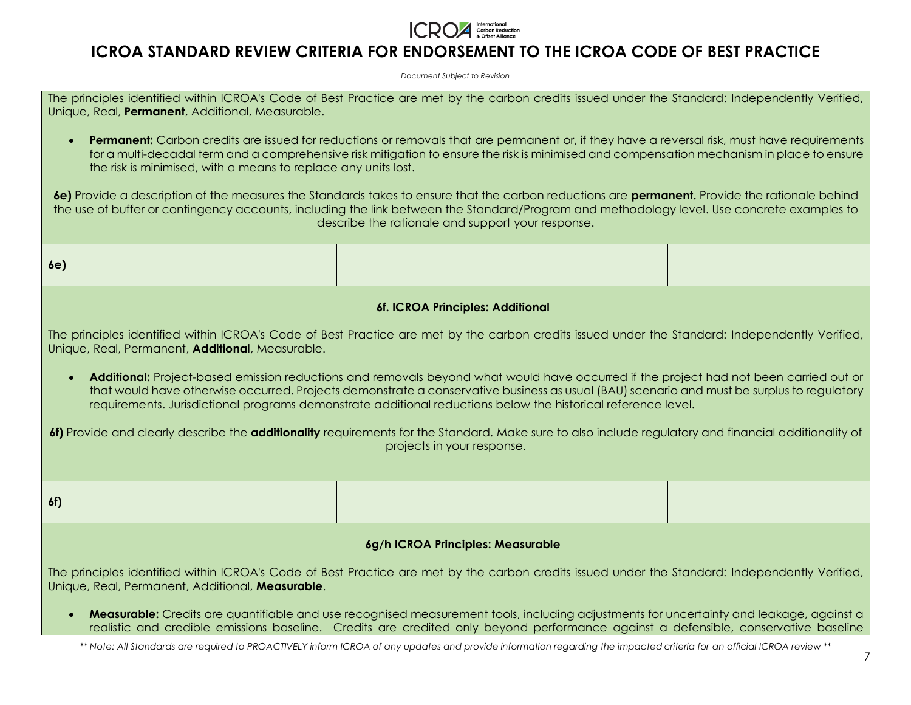

*Document Subject to Revision*

The principles identified within ICROA's Code of Best Practice are met by the carbon credits issued under the Standard: Independently Verified, Unique, Real, **Permanent**, Additional, Measurable.

• **Permanent:** Carbon credits are issued for reductions or removals that are permanent or, if they have a reversal risk, must have requirements for a multi-decadal term and a comprehensive risk mitigation to ensure the risk is minimised and compensation mechanism in place to ensure the risk is minimised, with a means to replace any units lost.

**6e)** Provide a description of the measures the Standards takes to ensure that the carbon reductions are **permanent.** Provide the rationale behind the use of buffer or contingency accounts, including the link between the Standard/Program and methodology level. Use concrete examples to describe the rationale and support your response.

**6f. ICROA Principles: Additional**

The principles identified within ICROA's Code of Best Practice are met by the carbon credits issued under the Standard: Independently Verified, Unique, Real, Permanent, **Additional**, Measurable.

• Additional: Project-based emission reductions and removals beyond what would have occurred if the project had not been carried out or that would have otherwise occurred. Projects demonstrate a conservative business as usual (BAU) scenario and must be surplus to regulatory requirements. Jurisdictional programs demonstrate additional reductions below the historical reference level.

**6f)** Provide and clearly describe the **additionality** requirements for the Standard. Make sure to also include regulatory and financial additionality of projects in your response.

**6f)** 

**6e)** 

#### **6g/h ICROA Principles: Measurable**

The principles identified within ICROA's Code of Best Practice are met by the carbon credits issued under the Standard: Independently Verified, Unique, Real, Permanent, Additional, **Measurable**.

**Measurable:** Credits are quantifiable and use recognised measurement tools, including adjustments for uncertainty and leakage, against a realistic and credible emissions baseline. Credits are credited only beyond performance against a defensible, conservative baseline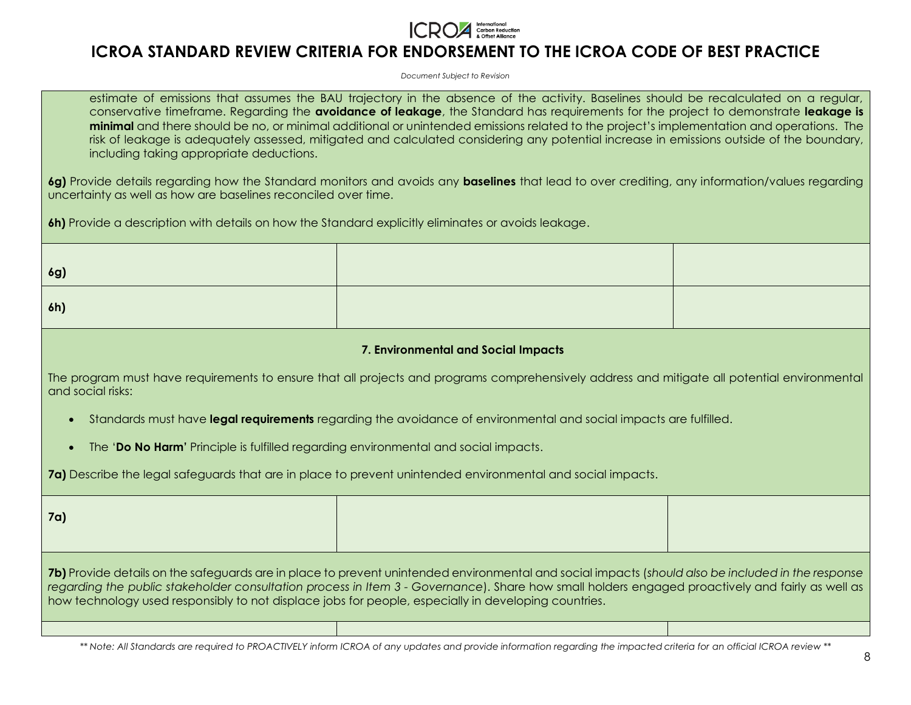

*Document Subject to Revision*

estimate of emissions that assumes the BAU trajectory in the absence of the activity. Baselines should be recalculated on a regular, conservative timeframe. Regarding the **avoidance of leakage**, the Standard has requirements for the project to demonstrate **leakage is minimal** and there should be no, or minimal additional or unintended emissions related to the project's implementation and operations. The risk of leakage is adequately assessed, mitigated and calculated considering any potential increase in emissions outside of the boundary, including taking appropriate deductions.

**6g)** Provide details regarding how the Standard monitors and avoids any **baselines** that lead to over crediting, any information/values regarding uncertainty as well as how are baselines reconciled over time.

**6h)** Provide a description with details on how the Standard explicitly eliminates or avoids leakage.

**6g)** 

**6h)** 

**7. Environmental and Social Impacts**

The program must have requirements to ensure that all projects and programs comprehensively address and mitigate all potential environmental and social risks:

- Standards must have **legal requirements** regarding the avoidance of environmental and social impacts are fulfilled.
- The '**Do No Harm'** Principle is fulfilled regarding environmental and social impacts.

**7a)** Describe the legal safeguards that are in place to prevent unintended environmental and social impacts.

**7a) 7b)** Provide details on the safeguards are in place to prevent unintended environmental and social impacts (*should also be included in the response regarding the public stakeholder consultation process in Item 3 - Governance*). Share how small holders engaged proactively and fairly as well as how technology used responsibly to not displace jobs for people, especially in developing countries.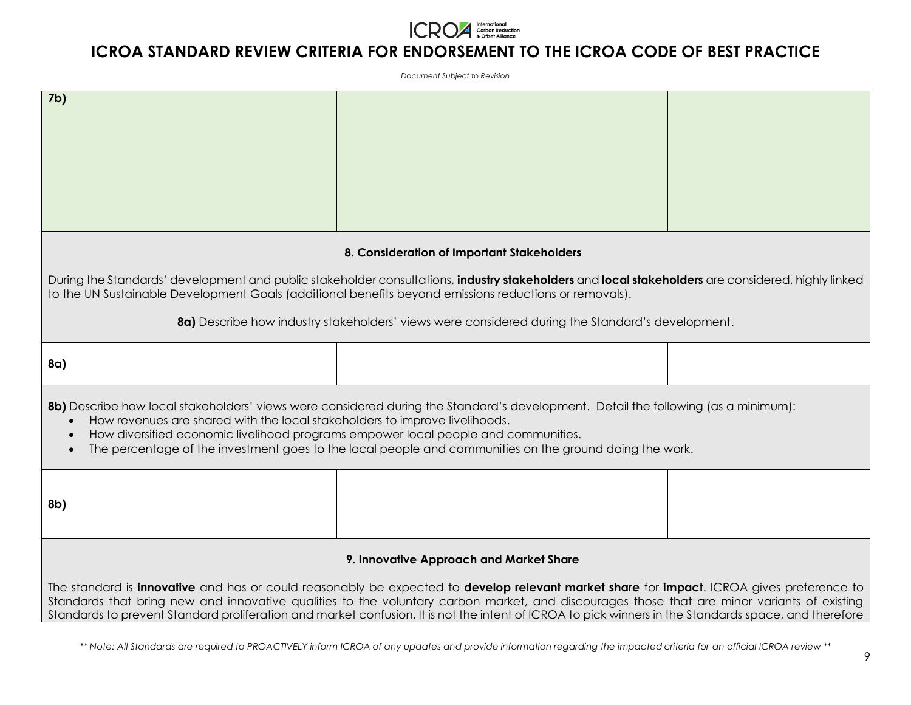

*Document Subject to Revision*

| 7 <sub>b</sub>                                                                                                                                                                                                                                                                                                                                                                                                                                    |                                            |  |  |
|---------------------------------------------------------------------------------------------------------------------------------------------------------------------------------------------------------------------------------------------------------------------------------------------------------------------------------------------------------------------------------------------------------------------------------------------------|--------------------------------------------|--|--|
|                                                                                                                                                                                                                                                                                                                                                                                                                                                   |                                            |  |  |
|                                                                                                                                                                                                                                                                                                                                                                                                                                                   |                                            |  |  |
|                                                                                                                                                                                                                                                                                                                                                                                                                                                   |                                            |  |  |
|                                                                                                                                                                                                                                                                                                                                                                                                                                                   |                                            |  |  |
|                                                                                                                                                                                                                                                                                                                                                                                                                                                   |                                            |  |  |
|                                                                                                                                                                                                                                                                                                                                                                                                                                                   | 8. Consideration of Important Stakeholders |  |  |
| During the Standards' development and public stakeholder consultations, industry stakeholders and local stakeholders are considered, highly linked<br>to the UN Sustainable Development Goals (additional benefits beyond emissions reductions or removals).                                                                                                                                                                                      |                                            |  |  |
| 8a) Describe how industry stakeholders' views were considered during the Standard's development.                                                                                                                                                                                                                                                                                                                                                  |                                            |  |  |
| 8a)                                                                                                                                                                                                                                                                                                                                                                                                                                               |                                            |  |  |
| 8b) Describe how local stakeholders' views were considered during the Standard's development. Detail the following (as a minimum):<br>How revenues are shared with the local stakeholders to improve livelihoods.<br>How diversified economic livelihood programs empower local people and communities.<br>The percentage of the investment goes to the local people and communities on the ground doing the work.                                |                                            |  |  |
| 8b)                                                                                                                                                                                                                                                                                                                                                                                                                                               |                                            |  |  |
| 9. Innovative Approach and Market Share                                                                                                                                                                                                                                                                                                                                                                                                           |                                            |  |  |
| The standard is innovative and has or could reasonably be expected to develop relevant market share for impact. ICROA gives preference to<br>Standards that bring new and innovative qualities to the voluntary carbon market, and discourages those that are minor variants of existing<br>Standards to prevent Standard proliferation and market confusion. It is not the intent of ICROA to pick winners in the Standards space, and therefore |                                            |  |  |